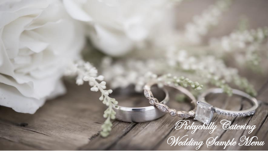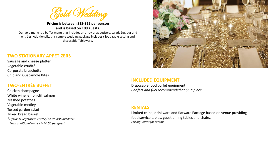

**Pricing is between \$15-\$25 per person and is based on 100 guests.**

Our gold menu is a buffet menu that includes an array of appetizers, salads Du Jour and entrées. Additionally, this sample wedding package includes t food table setting and disposable Tableware.

#### **TWO STATIONARY APPETIZERS**

Sausage and cheese platter Vegetable crudité Corporate bruschetta Chip and Guacamole Bites

# **TWO-ENTRÉE BUFFET**

Chicken champagne White wine lemon-dill salmon Mashed potatoes Vegetable medley Tossed garden salad Mixed bread basket \**Optional vegetarian entrée/ pasta dish available Each additional entree is \$0.50 per guest*



#### **INCLUDED EQUIPMENT**

Disposable food buffet equipment *Chafers and fuel recommended at \$5 a piece*

#### **RENTALS**

Limited china, drinkware and flatware Package based on venue providing food service tables, guest dining tables and chairs. *Pricing Varies for rentals*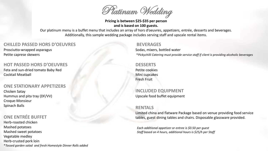

**Pricing is between \$25-\$35 per person and is based on 100 guests.**

Our platinum menu is a buffet menu that includes an array of hors d'oeuvres, appetizers, entrée, desserts and beverages. Additionally, this sample wedding package includes serving staff and upscale rental items.

# **CHILLED PASSED HORS D'OEUVRES**

Prosciutto-wrapped asparagus Petite caprese skewers

#### **HOT PASSED HORS D'OEUVRES**

Feta and sun-dried tomato Baby Red Cocktail Meatball

#### **ONE STATIONARY APPETIZERS**

Chicken Satay Hummus and pita tray (DF/VV) Croque-Monsieur Spinach Balls

# **ONE ENTRÉE BUFFET**

Herb-roasted chicken Mashed potatoes Mashed sweet potatoes Vegetable medley Herb-crusted pork loin \**Tossed garden salad and fresh Homestyle Dinner Rolls added*

# **BEVERAGES**

Sodas, mixers, bottled water \**Pickychilli Catering must provide service staff if client is providing alcoholic beverages* 

#### **DESSERTS**

Petite cookies Mini cupcakes Fresh Fruit

**INCLUDED EQUIPMENT** Upscale food buffet equipment

## **RENTALS**

Limited china and flatware Package based on venue providing food service tables, guest dining tables and chairs. Disposable glassware provided.

*Each additional appetizer or entree is \$0.50 per guest Staff based on 4 hours, additional hours is \$25/h per Staff*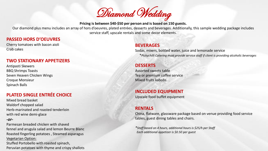

#### **Pricing is between \$40-\$50 per person and is based on 150 guests.**

Our diamond plus menu includes an array of hors d'oeuvres, plated entrées, desserts and beverages. Additionally, this sample wedding package includes service staff, upscale rentals and some decor elements.

## **PASSED HORS D'OEUVRES**

Cherry tomatoes with bacon aioli Crab cakes

#### **TWO STATIONARY APPETIZERS**

Antipasti Skewers BBQ Shrimps Toasts Seven Heaven Chicken Wings Croque Monsieur Spinach Balls

# **PLATED SINGLE ENTRÉE CHOICE**

Mixed bread basket Waldorf chopped salad Herb-marinated and roasted tenderloin with red wine demi-glace

#### *-or-*

Parmesan breaded chicken with shaved fennel and arugula salad and lemon Beurre Blanc Roasted fingerling potatoes , Steamed asparagus Vegetarian Option:

Stuffed Portobello with roasted spinach, Peruvian potatoes with thyme and crispy shallots

#### **BEVERAGES**

Sodas, mixers, bottled water, juice and lemonade service \**Pickychilli Catering must provide service staff if client is providing alcoholic beverages* 

#### **DESSERTS**

Assorted sweets table Tea or premium coffee service Mixed fruits kabobs

#### **INCLUDED EQUIPMENT**

Upscale food buffet equipment

## **RENTALS**

China, flatware, glassware package based on venue providing food service tables, guest dining tables and chairs.

*\*Staff based on 4 hours, additional hours is \$25/h per Staff Each additional appetizer is \$0.50 per guest*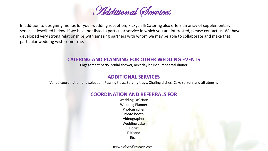

In addition to designing menus for your wedding reception, Pickychilli Catering also offers an array of supplementary services described below. If we have not listed a particular service in which you are interested, please contact us. We have developed very strong relationships with amazing partners with whom we may be able to collaborate and make that particular wedding wish come true.

# **CATERING AND PLANNING FOR OTHER WEDDING EVENTS**

Engagement party, bridal shower, next day brunch, rehearsal dinner

# **ADDITIONAL SERVICES**

Venue coordination and selection, Passing trays, Serving trays, Chafing dishes, Cake servers and all utensils

# **COORDINATION AND REFERRALS FOR**

Wedding Officiate Wedding Planner Photographer Photo booth Videographer Wedding cake Florist DJ/band Etc…

www.pickychillicatering.com